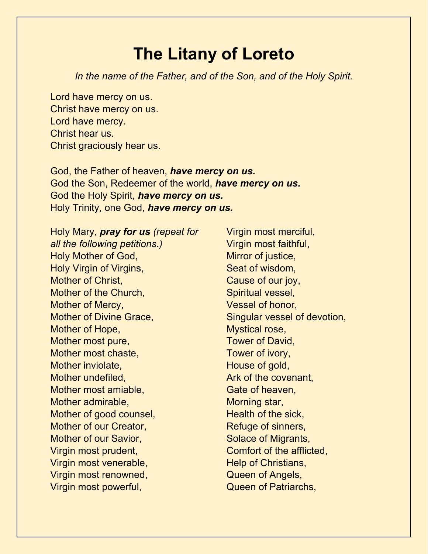## **The Litany of Loreto**

*In the name of the Father, and of the Son, and of the Holy Spirit.*

Lord have mercy on us. Christ have mercy on us. Lord have mercy. Christ hear us. Christ graciously hear us.

God, the Father of heaven, *have mercy on us.* God the Son, Redeemer of the world, *have mercy on us.* God the Holy Spirit, *have mercy on us.* Holy Trinity, one God, *have mercy on us.*

Holy Mary, *pray for us (repeat for all the following petitions.)* Holy Mother of God, Holy Virgin of Virgins, Mother of Christ, Mother of the Church, Mother of Mercy, Mother of Divine Grace, Mother of Hope, Mother most pure, Mother most chaste, Mother inviolate, Mother undefiled, Mother most amiable, Mother admirable, Mother of good counsel, Mother of our Creator, Mother of our Savior, Virgin most prudent, Virgin most venerable, Virgin most renowned, Virgin most powerful,

Virgin most merciful, Virgin most faithful, Mirror of justice, Seat of wisdom, Cause of our joy, Spiritual vessel, Vessel of honor, Singular vessel of devotion, Mystical rose, Tower of David, Tower of ivory, House of gold, Ark of the covenant, Gate of heaven, Morning star, Health of the sick, Refuge of sinners, Solace of Migrants, Comfort of the afflicted, Help of Christians, Queen of Angels, Queen of Patriarchs,